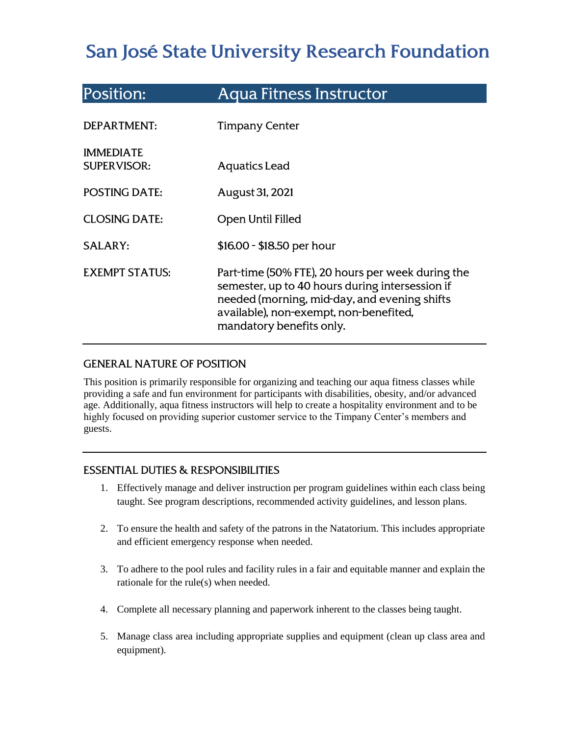# San José State University Research Foundation

| Position:                              | <b>Aqua Fitness Instructor</b>                                                                                                                                                                                             |
|----------------------------------------|----------------------------------------------------------------------------------------------------------------------------------------------------------------------------------------------------------------------------|
| DEPARTMENT:                            | <b>Timpany Center</b>                                                                                                                                                                                                      |
| <b>IMMEDIATE</b><br><b>SUPERVISOR:</b> | Aquatics Lead                                                                                                                                                                                                              |
| <b>POSTING DATE:</b>                   | August 31, 2021                                                                                                                                                                                                            |
| <b>CLOSING DATE:</b>                   | Open Until Filled                                                                                                                                                                                                          |
| <b>SALARY:</b>                         | \$16.00 - \$18.50 per hour                                                                                                                                                                                                 |
| <b>EXEMPT STATUS:</b>                  | Part-time (50% FTE), 20 hours per week during the<br>semester, up to 40 hours during intersession if<br>needed (morning, mid-day, and evening shifts<br>available), non-exempt, non-benefited,<br>mandatory benefits only. |

# **GENERAL NATURE OF POSITION**

This position is primarily responsible for organizing and teaching our aqua fitness classes while providing a safe and fun environment for participants with disabilities, obesity, and/or advanced age. Additionally, aqua fitness instructors will help to create a hospitality environment and to be highly focused on providing superior customer service to the Timpany Center's members and guests.

## **ESSENTIAL DUTIES & RESPONSIBILITIES**

- 1. Effectively manage and deliver instruction per program guidelines within each class being taught. See program descriptions, recommended activity guidelines, and lesson plans.
- 2. To ensure the health and safety of the patrons in the Natatorium. This includes appropriate and efficient emergency response when needed.
- 3. To adhere to the pool rules and facility rules in a fair and equitable manner and explain the rationale for the rule(s) when needed.
- 4. Complete all necessary planning and paperwork inherent to the classes being taught.
- 5. Manage class area including appropriate supplies and equipment (clean up class area and equipment).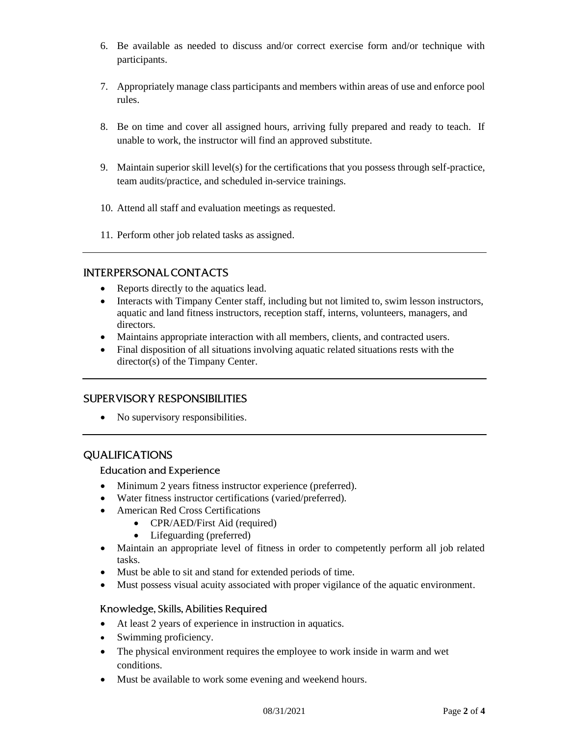- 6. Be available as needed to discuss and/or correct exercise form and/or technique with participants.
- 7. Appropriately manage class participants and members within areas of use and enforce pool rules.
- 8. Be on time and cover all assigned hours, arriving fully prepared and ready to teach. If unable to work, the instructor will find an approved substitute.
- 9. Maintain superior skill level(s) for the certifications that you possess through self-practice, team audits/practice, and scheduled in-service trainings.
- 10. Attend all staff and evaluation meetings as requested.
- 11. Perform other job related tasks as assigned.

## **INTERPERSONAL CONTACTS**

- Reports directly to the aquatics lead.
- Interacts with Timpany Center staff, including but not limited to, swim lesson instructors, aquatic and land fitness instructors, reception staff, interns, volunteers, managers, and directors.
- Maintains appropriate interaction with all members, clients, and contracted users.
- Final disposition of all situations involving aquatic related situations rests with the director(s) of the Timpany Center.

## **SUPERVISORY RESPONSIBILITIES**

• No supervisory responsibilities.

## **QUALIFICATIONS**

#### **Education and Experience**

- Minimum 2 years fitness instructor experience (preferred).
- Water fitness instructor certifications (varied/preferred).
- American Red Cross Certifications
	- CPR/AED/First Aid (required)
	- Lifeguarding (preferred)
- Maintain an appropriate level of fitness in order to competently perform all job related tasks.
- Must be able to sit and stand for extended periods of time.
- Must possess visual acuity associated with proper vigilance of the aquatic environment.

#### Knowledge, Skills, Abilities Required

- At least 2 years of experience in instruction in aquatics.
- Swimming proficiency.
- The physical environment requires the employee to work inside in warm and wet conditions.
- Must be available to work some evening and weekend hours.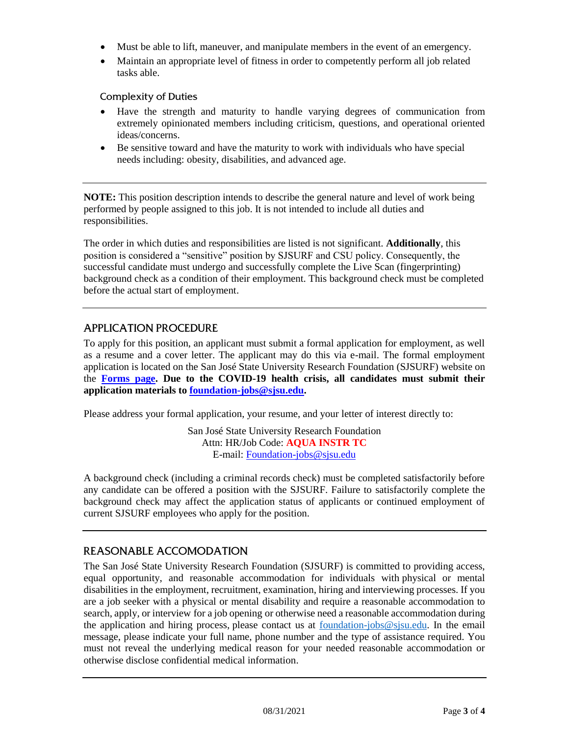- Must be able to lift, maneuver, and manipulate members in the event of an emergency.
- Maintain an appropriate level of fitness in order to competently perform all job related tasks able.

### **Complexity of Duties**

- Have the strength and maturity to handle varying degrees of communication from extremely opinionated members including criticism, questions, and operational oriented ideas/concerns.
- Be sensitive toward and have the maturity to work with individuals who have special needs including: obesity, disabilities, and advanced age.

**NOTE:** This position description intends to describe the general nature and level of work being performed by people assigned to this job. It is not intended to include all duties and responsibilities.

The order in which duties and responsibilities are listed is not significant. **Additionally**, this position is considered a "sensitive" position by SJSURF and CSU policy. Consequently, the successful candidate must undergo and successfully complete the Live Scan (fingerprinting) background check as a condition of their employment. This background check must be completed before the actual start of employment.

## **APPLICATION PROCEDURE**

To apply for this position, an applicant must submit a formal application for employment, as well as a resume and a cover letter. The applicant may do this via e-mail. The formal employment application is located on the San José State University Research Foundation (SJSURF) website on the **[Forms page.](https://www.sjsu.edu/researchfoundation/resources/forms/index.php) Due to the COVID-19 health crisis, all candidates must submit their application materials to [foundation-jobs@sjsu.edu.](mailto:foundation-jobs@sjsu.edu)** 

Please address your formal application, your resume, and your letter of interest directly to:

San José State University Research Foundation Attn: HR/Job Code: **AQUA INSTR TC** E-mail: [Foundation-jobs@sjsu.edu](mailto:Foundation-jobs@sjsu.edu)

A background check (including a criminal records check) must be completed satisfactorily before any candidate can be offered a position with the SJSURF. Failure to satisfactorily complete the background check may affect the application status of applicants or continued employment of current SJSURF employees who apply for the position.

## **REASONABLE ACCOMODATION**

The San José State University Research Foundation (SJSURF) is committed to providing access, equal opportunity, and reasonable accommodation for individuals with physical or mental disabilities in the employment, recruitment, examination, hiring and interviewing processes. If you are a job seeker with a physical or mental disability and require a reasonable accommodation to search, apply, or interview for a job opening or otherwise need a reasonable accommodation during the application and hiring process, please contact us at [foundation-jobs@sjsu.edu.](mailto:foundation-jobs@sjsu.edu) In the email message, please indicate your full name, phone number and the type of assistance required. You must not reveal the underlying medical reason for your needed reasonable accommodation or otherwise disclose confidential medical information.